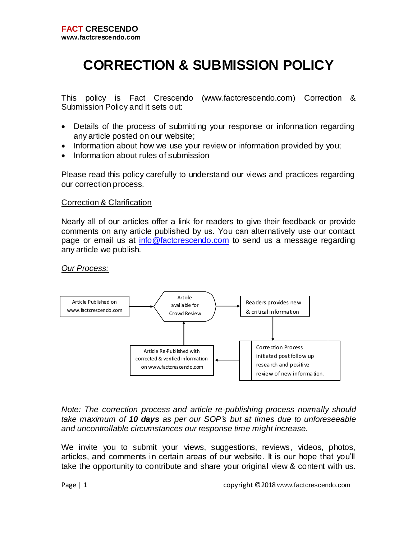# **CORRECTION & SUBMISSION POLICY**

This policy is Fact Crescendo (www.factcrescendo.com) Correction & Submission Policy and it sets out:

- Details of the process of submitting your response or information regarding any article posted on our website;
- Information about how we use your review or information provided by you;
- Information about rules of submission

Please read this policy carefully to understand our views and practices regarding our correction process.

#### Correction & Clarification

Nearly all of our articles offer a link for readers to give their feedback or provide comments on any article published by us. You can alternatively use our contact page or email us at [info@factcrescendo.com](mailto:info@factcrescendo.com) to send us a message regarding any article we publish.

*Our Process:*



*Note: The correction process and article re-publishing process normally should take maximum of 10 days as per our SOP's but at times due to unforeseeable and uncontrollable circumstances our response time might increase.*

We invite you to submit your views, suggestions, reviews, videos, photos, articles, and comments in certain areas of our website. It is our hope that you'll take the opportunity to contribute and share your original view & content with us.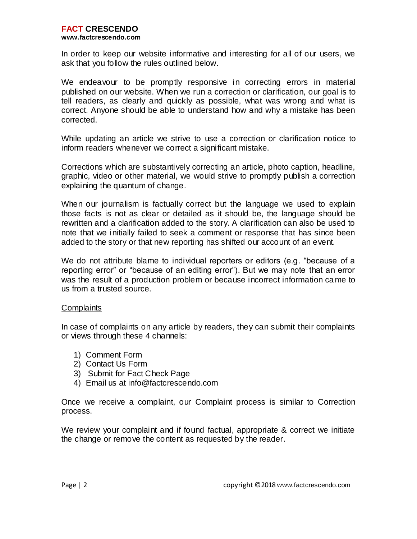#### **www.factcrescendo.com**

In order to keep our website informative and interesting for all of our users, we ask that you follow the rules outlined below.

We endeavour to be promptly responsive in correcting errors in material published on our website. When we run a correction or clarification, our goal is to tell readers, as clearly and quickly as possible, what was wrong and what is correct. Anyone should be able to understand how and why a mistake has been corrected.

While updating an article we strive to use a correction or clarification notice to inform readers whenever we correct a significant mistake.

Corrections which are substantively correcting an article, photo caption, headline, graphic, video or other material, we would strive to promptly publish a correction explaining the quantum of change.

When our journalism is factually correct but the language we used to explain those facts is not as clear or detailed as it should be, the language should be rewritten and a clarification added to the story. A clarification can also be used to note that we initially failed to seek a comment or response that has since been added to the story or that new reporting has shifted our account of an event.

We do not attribute blame to individual reporters or editors (e.g. "because of a reporting error" or "because of an editing error"). But we may note that an error was the result of a production problem or because incorrect information ca me to us from a trusted source.

#### **Complaints**

In case of complaints on any article by readers, they can submit their complaints or views through these 4 channels:

- 1) Comment Form
- 2) Contact Us Form
- 3) Submit for Fact Check Page
- 4) Email us at info@factcrescendo.com

Once we receive a complaint, our Complaint process is similar to Correction process.

We review your complaint and if found factual, appropriate & correct we initiate the change or remove the content as requested by the reader.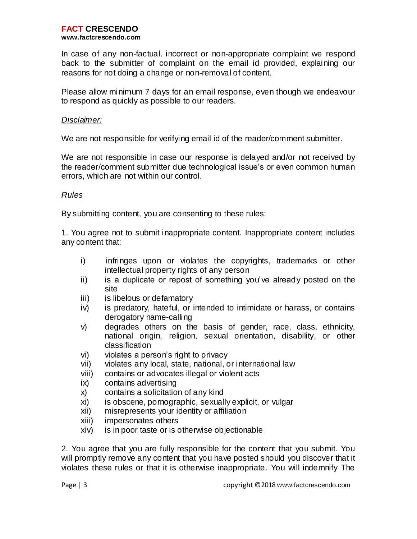In case of any non-factual, incorrect or non-appropriate complaint we respond back to the submitter of complaint on the email id provided, explaining our reasons for not doing a change or non-removal of content.

Please allow minimum 7 days for an email response, even though we endeavour to respond as quickly as possible to our readers.

### *Disclaimer:*

We are not responsible for verifying email id of the reader/comment submitter.

We are not responsible in case our response is delayed and/or not received by the reader/comment submitter due technological issue's or even common human errors, which are not within our control.

## *Rules*

By submitting content, you are consenting to these rules:

1. You agree not to submit inappropriate content. Inappropriate content includes any content that:

- i) infringes upon or violates the copyrights, trademarks or other intellectual property rights of any person
- ii) is a duplicate or repost of something you've already posted on the site
- iii) is libelous or defamatory
- iv) is predatory, hateful, or intended to intimidate or harass, or contains derogatory name-calling
- v) degrades others on the basis of gender, race, class, ethnicity, national origin, religion, sexual orientation, disability, or other classification
- vi) violates a person's right to privacy
- vii) violates any local, state, national, or international law
- viii) contains or advocates illegal or violent acts
- ix) contains advertising
- x) contains a solicitation of any kind
- xi) is obscene, pornographic, sexually explicit, or vulgar
- xii) misrepresents your identity or affiliation
- xiii) impersonates others
- xiv) is in poor taste or is otherwise objectionable

2. You agree that you are fully responsible for the content that you submit. You will promptly remove any content that you have posted should you discover that it violates these rules or that it is otherwise inappropriate. You will indemnify The